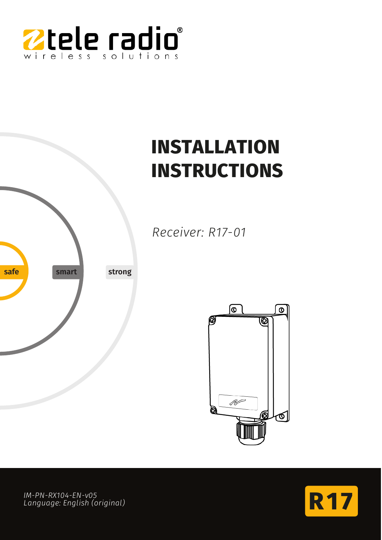

# **INSTALLATION INSTRUCTIONS**

*Receiver: R17-01*





**R1 7** *IM-PN-RX104-EN-v05 Language: English (original)*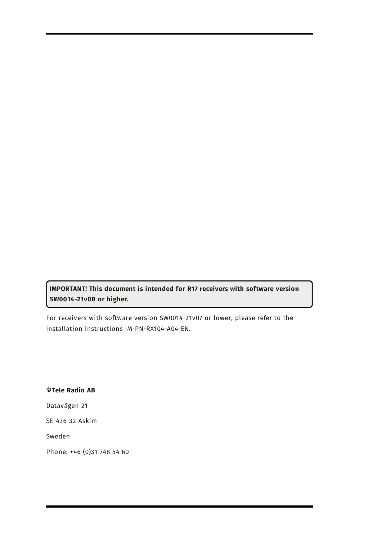**IMPORTANT! This document is intended for R17 receivers with software version SW0014-21v08 or higher.**

For receivers with software version SW0014-21v07 or lower, please refer to the installation instructions IM-PN-RX104-A04-EN.

**©Tele Radio AB** Datavägen 21 SE-436 32 Askim Sweden Phone: +46 (0)31 748 54 60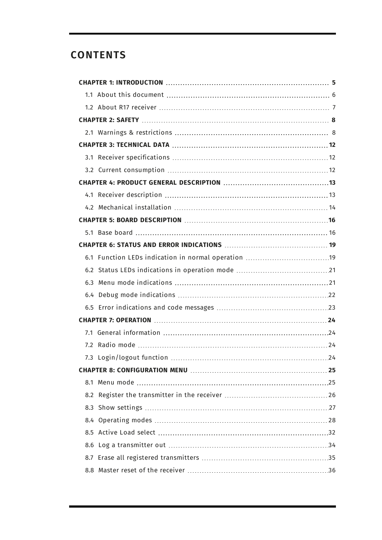# **CONTENTS**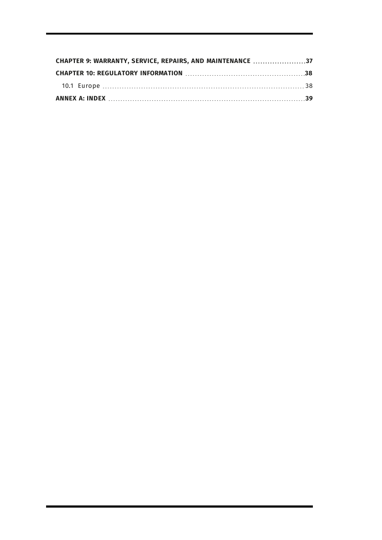| CHAPTER 9: WARRANTY, SERVICE, REPAIRS, AND MAINTENANCE 37 |  |  |  |  |  |
|-----------------------------------------------------------|--|--|--|--|--|
|                                                           |  |  |  |  |  |
|                                                           |  |  |  |  |  |
|                                                           |  |  |  |  |  |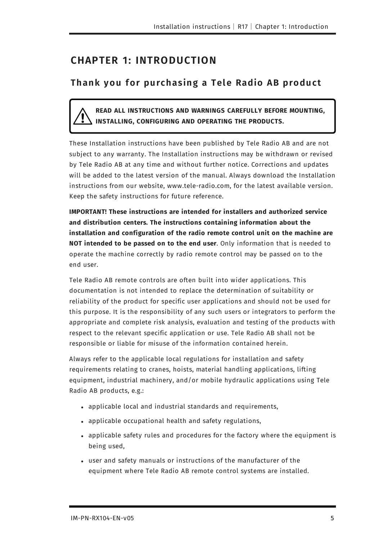# <span id="page-4-0"></span>**CHAPTER 1: INTRODUCTION**

# **Thank you for purchasing a Tele Radio AB product**

**READ ALL INSTRUCTIONS AND WARNINGS CAREFULLY BEFORE MOUNTING, INSTALLING, CONFIGURING AND OPERATING THE PRODUCTS.**

These Installation instructions have been published by Tele Radio AB and are not subject to any warranty. The Installation instructions may be withdrawn or revised by Tele Radio AB at any time and without further notice. Corrections and updates will be added to the latest version of the manual. Always download the Installation instructions from our website, www.tele-radio.com, for the latest available version. Keep the safety instructions for future reference.

**IMPORTANT! These instructions are intended for installers and authorized service and distribution centers. The instructions containing information about the installation and configuration of the radio remote control unit on the machine are NOT intended to be passed on to the end user**. Only information that is needed to operate the machine correctly by radio remote control may be passed on to the end user.

Tele Radio AB remote controls are often built into wider applications. This documentation is not intended to replace the determination of suitability or reliability of the product for specific user applications and should not be used for this purpose. It is the responsibility of any such users or integrators to perform the appropriate and complete risk analysis, evaluation and testing of the products with respect to the relevant specific application or use. Tele Radio AB shall not be responsible or liable for misuse of the information contained herein.

Always refer to the applicable local regulations for installation and safety requirements relating to cranes, hoists, material handling applications, lifting equipment, industrial machinery, and/or mobile hydraulic applications using Tele Radio AB products, e.g.:

- applicable local and industrial standards and requirements,
- applicable occupational health and safety regulations,
- applicable safety rules and procedures for the factory where the equipment is being used,
- user and safety manuals or instructions of the manufacturer of the equipment where Tele Radio AB remote control systems are installed.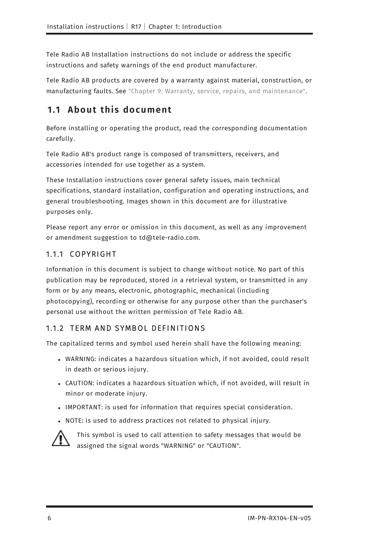Tele Radio AB Installation instructions do not include or address the specific instructions and safety warnings of the end product manufacturer.

<span id="page-5-0"></span>Tele Radio AB products are covered by a warranty against material, construction, or manufacturing faults. See ["Chapter 9: Warranty, service, repairs, and maintenance"](#page-36-0).

# **1.1 About this document**

Before installing or operating the product, read the corresponding documentation carefully.

Tele Radio AB's product range is composed of transmitters, receivers, and accessories intended for use together as a system.

These Installation instructions cover general safety issues, main technical specifications, standard installation, configuration and operating instructions, and general troubleshooting. Images shown in this document are for illustrative purposes only.

Please report any error or omission in this document, as well as any improvement or amendment suggestion to td@tele-radio.com.

### 1.1.1 COPYRIGHT

Information in this document is subject to change without notice. No part of this publication may be reproduced, stored in a retrieval system, or transmitted in any form or by any means, electronic, photographic, mechanical (including photocopying), recording or otherwise for any purpose other than the purchaser's personal use without the written permission of Tele Radio AB.

### 1.1.2 TERM AND SYMBOL DEFINITIONS

The capitalized terms and symbol used herein shall have the following meaning:

- WARNING: indicates a hazardous situation which, if not avoided, could result in death or serious injury.
- <sup>l</sup> CAUTION: indicates a hazardous situation which, if not avoided, will result in minor or moderate injury.
- IMPORTANT: is used for information that requires special consideration.
- NOTE: is used to address practices not related to physical injury.



This symbol is used to call attention to safety messages that would be assigned the signal words "WARNING" or "CAUTION".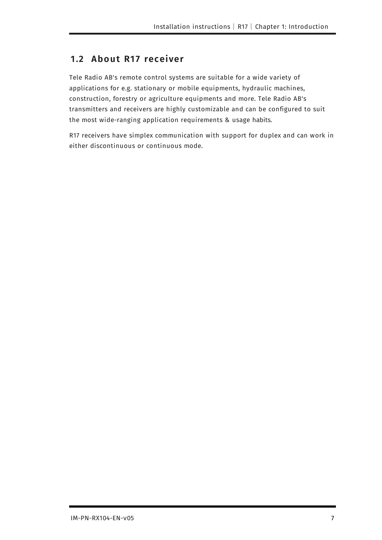### <span id="page-6-0"></span>**1.2 About R17 receiver**

Tele Radio AB's remote control systems are suitable for a wide variety of applications for e.g. stationary or mobile equipments, hydraulic machines, construction, forestry or agriculture equipments and more. Tele Radio AB's transmitters and receivers are highly customizable and can be configured to suit the most wide-ranging application requirements & usage habits.

R17 receivers have simplex communication with support for duplex and can work in either discontinuous or continuous mode.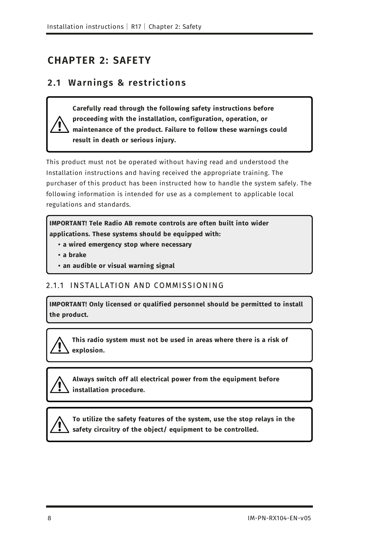# <span id="page-7-1"></span><span id="page-7-0"></span>**CHAPTER 2: SAFETY**

### **2 .1 W arnings & restrictions**

**Carefully read through the following safety instructions before proceeding with the installation, configuration, operation, or maintenance of the product. Failure to follow these warnings could result in death or serious injury.**

This product must not be operated without having read and understood the Installation instructions and having received the appropriate training. The purchaser of this product has been instructed how to handle the system safely. The following information is intended for use as a complement to applicable local regulations and standards.

**IMPORTANT! Tele Radio AB remote controls are often built into wider applications. These systems should be equipped with:**

- **a wired emergency stop where necessary**
- **a brake**
- <span id="page-7-2"></span> **• an audible or visual warning signal**

### 2.1.1 INSTALLATION AND COMMISSIONING

**IMPORTANT! Only licensed or qualified personnel should be permitted to install the product.**

**This radio system must not be used in areas where there is a risk of explosion.**

**Always switch off all electrical power from the equipment before installation procedure.**



**To utilize the safety features of the system, use the stop relays in the safety circuitry of the object/ equipment to be controlled.**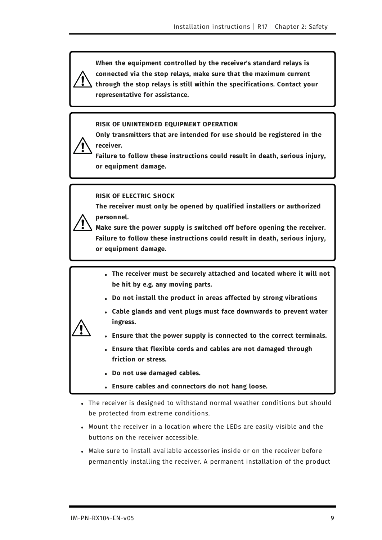**When the equipment controlled by the receiver's standard relays is connected via the stop relays, make sure that the maximum current through the stop relays is still within the specifications. Contact your representative for assistance.**

#### **RISK OF UNINTENDED EQUIPMENT OPERATION**

**Only transmitters that are intended for use should be registered in the receiver.**

**Failure to follow these instructions could result in death, serious injury, or equipment damage.**

#### **RISK OF ELECTRIC SHOCK**

**The receiver must only be opened by qualified installers or authorized personnel.** 



**Make sure the power supply is switched off before opening the receiver. Failure to follow these instructions could result in death, serious injury, or equipment damage.**

- **.** The receiver must be securely attached and located where it will not **be hit by e.g. any moving parts.**
- **.** Do not install the product in areas affected by strong vibrations
- **.** Cable glands and vent plugs must face downwards to prevent water **ingress.**



- **Ensure that the power supply is connected to the correct terminals.**
- <sup>l</sup> **Ensure that flexible cords and cables are not damaged through friction or stress.**
- <sup>l</sup> **Do not use damaged cables.**
- **Ensure cables and connectors do not hang loose.**
- The receiver is designed to withstand normal weather conditions but should be protected from extreme conditions.
- Mount the receiver in a location where the LEDs are easily visible and the buttons on the receiver accessible.
- Make sure to install available accessories inside or on the receiver before permanently installing the receiver. A permanent installation of the product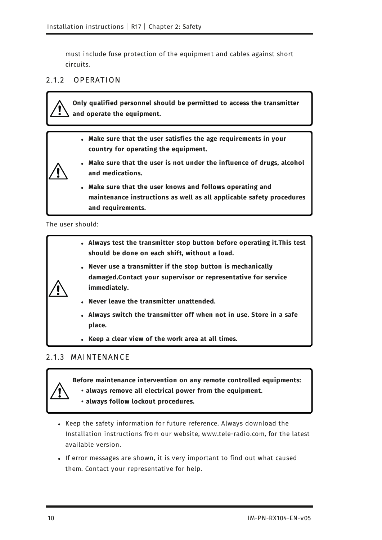must include fuse protection of the equipment and cables against short circuits.

### <span id="page-9-1"></span>2.1.2 OPERATION

**Only qualified personnel should be permitted to access the transmitter and operate the equipment.**

- **.** Make sure that the user satisfies the age requirements in your **country for operating the equipment.**
- **Make sure that the user is not under the influence of drugs, alcohol and medications.**
- **.** Make sure that the user knows and follows operating and **maintenance instructions as well as all applicable safety procedures and requirements.**

The user should:

|  | • Always test the transmitter stop button before operating it. This test<br>should be done on each shift, without a load.                     |
|--|-----------------------------------------------------------------------------------------------------------------------------------------------|
|  | • Never use a transmitter if the stop button is mechanically<br>damaged.Contact your supervisor or representative for service<br>immediately. |
|  | • Never leave the transmitter unattended.                                                                                                     |
|  | • Always switch the transmitter off when not in use. Store in a safe<br>place.                                                                |

<sup>l</sup> **Keep a clear view of the work area at all times.**

### <span id="page-9-0"></span>2.1.3 MAINTENANCE

**Before maintenance intervention on any remote controlled equipments:**

- **always remove all electrical power from the equipment.**
- **always follow lockout procedures.**
- Keep the safety information for future reference. Always download the Installation instructions from our website, www.tele-radio.com, for the latest available version.
- If error messages are shown, it is very important to find out what caused them. Contact your representative for help.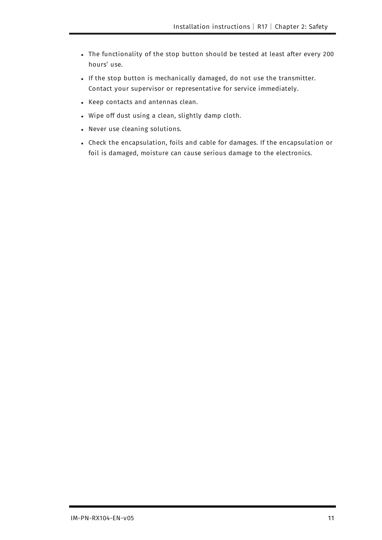- The functionality of the stop button should be tested at least after every 200 hours' use.
- If the stop button is mechanically damaged, do not use the transmitter. Contact your supervisor or representative for service immediately.
- Keep contacts and antennas clean.
- Wipe off dust using a clean, slightly damp cloth.
- Never use cleaning solutions.
- Check the encapsulation, foils and cable for damages. If the encapsulation or foil is damaged, moisture can cause serious damage to the electronics.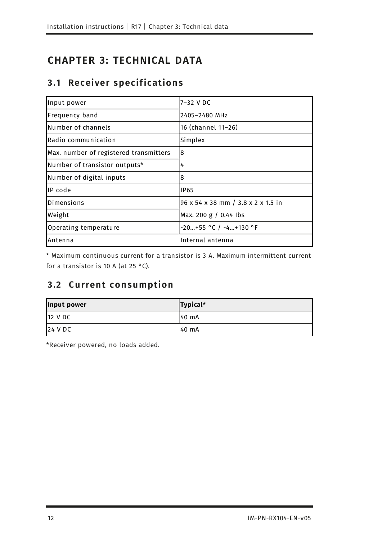# <span id="page-11-1"></span><span id="page-11-0"></span>**CHAPTER 3: TECHNICAL DATA**

# **3 .1 Receiver specif ications**

<span id="page-11-7"></span><span id="page-11-5"></span><span id="page-11-4"></span><span id="page-11-3"></span>

| Input power                            | l7–32 V DC                         |
|----------------------------------------|------------------------------------|
| Frequency band                         | 2405-2480 MHz                      |
| Number of channels                     | 16 (channel 11-26)                 |
| Radio communication                    | Simplex                            |
| Max. number of registered transmitters | 8                                  |
| Number of transistor outputs*          | 4                                  |
| Number of digital inputs               | 8                                  |
| IP code                                | <b>IP65</b>                        |
| Dimensions                             | 96 x 54 x 38 mm / 3.8 x 2 x 1.5 in |
| Weight                                 | Max. 200 g / 0.44 lbs              |
| Operating temperature                  | $-20+55$ °C / $-4+130$ °F          |
| Antenna                                | Internal antenna                   |

<span id="page-11-6"></span><span id="page-11-2"></span>\* Maximum continuous current for a transistor is 3 A. Maximum intermittent current for a transistor is 10 A (at 25 °C).

# **3 .2 C u rrent consu mption**

| Input power | Typical* |
|-------------|----------|
| 12 VDC      | 140 mA   |
| 24 VDC      | 40 mA    |

\*Receiver powered, no loads added.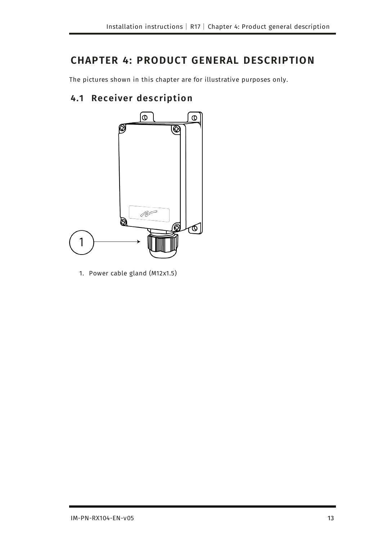# <span id="page-12-0"></span>**CHAPTER 4: PRODUCT GENERAL DESCRIPTION**

<span id="page-12-1"></span>The pictures shown in this chapter are for illustrative purposes only.

# **4.1 Receiver description**



1. Power cable gland (M12x1.5)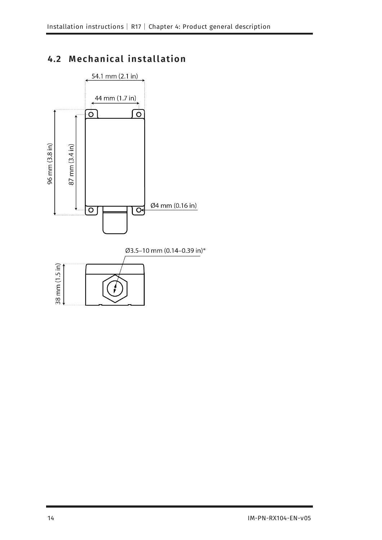# <span id="page-13-0"></span>**4.2 Mechanical installation**

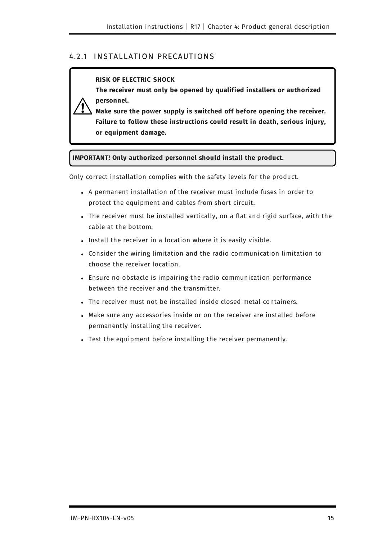### <span id="page-14-0"></span>4.2.1 INSTALLATION PRECAUTIONS

#### **RISK OF ELECTRIC SHOCK**

**The receiver must only be opened by qualified installers or authorized personnel.** 



**Make sure the power supply is switched off before opening the receiver. Failure to follow these instructions could result in death, serious injury, or equipment damage.**

#### **IMPORTANT! Only authorized personnel should install the product.**

Only correct installation complies with the safety levels for the product.

- A permanent installation of the receiver must include fuses in order to protect the equipment and cables from short circuit.
- The receiver must be installed vertically, on a flat and rigid surface, with the cable at the bottom.
- Install the receiver in a location where it is easily visible.
- <sup>l</sup> Consider the wiring limitation and the radio communication limitation to choose the receiver location.
- Ensure no obstacle is impairing the radio communication performance between the receiver and the transmitter.
- The receiver must not be installed inside closed metal containers.
- Make sure any accessories inside or on the receiver are installed before permanently installing the receiver.
- Test the equipment before installing the receiver permanently.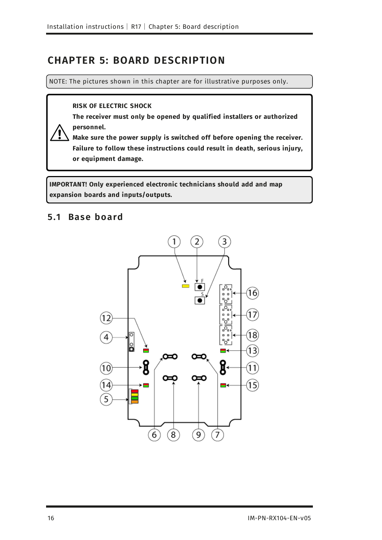# <span id="page-15-0"></span>**CHAPTER 5: BOARD DESCRIPTION**

NOTE: The pictures shown in this chapter are for illustrative purposes only.

#### **RISK OF ELECTRIC SHOCK**

**The receiver must only be opened by qualified installers or authorized personnel.** 

**Make sure the power supply is switched off before opening the receiver. Failure to follow these instructions could result in death, serious injury, or equipment damage.**

<span id="page-15-1"></span>**IMPORTANT! Only experienced electronic technicians should add and map expansion boards and inputs/outputs.**

### **5.1 Base board**

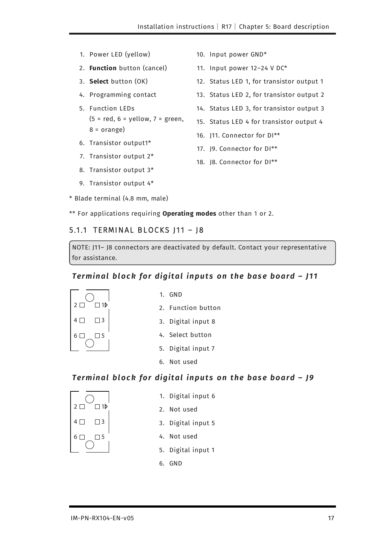- 1. Power LED (yellow)
- 2. **Function** button (cancel)
- 3. **Select** button (OK)
- 4. Programming contact
- 5. Function LEDs  $(5 = red, 6 = yellow, 7 = green,$  $8 = \text{orange}$ )
- 6. Transistor output1\*
- 7. Transistor output 2\*
- 8. Transistor output 3\*
- 9. Transistor output 4\*
- \* Blade terminal (4.8 mm, male)
- 10. Input power GND\*
- 11. Input power 12–24 V DC\*
- 12. Status LED 1, for transistor output 1
- 13. Status LED 2, for transistor output 2
- 14. Status LED 3, for transistor output 3
- 15. Status LED 4 for transistor output 4
- 16. J11. Connector for DI\*\*
- 17. J9. Connector for DI\*\*
- 18. J8. Connector for DI\*\*

\*\* For applications requiring **Operating modes** other than 1 or 2.

#### 5.1.1 TERMINAL BLOCKS J11 - J8

NOTE: J11– J8 connectors are deactivated by default. Contact your representative for assistance.

#### <span id="page-16-0"></span>*Terminal block for digital inputs on the base board - J11*



- 1. GND
- 2. Function button
- 3. Digital input 8
- 4. Select button
- 5. Digital input 7
- 6. Not used

#### *Terminal block for digital inputs on the base board - J9*



- 1. Digital input 6
- 2. Not used
- 3. Digital input 5
- 4. Not used
- 5. Digital input 1
- 6. GND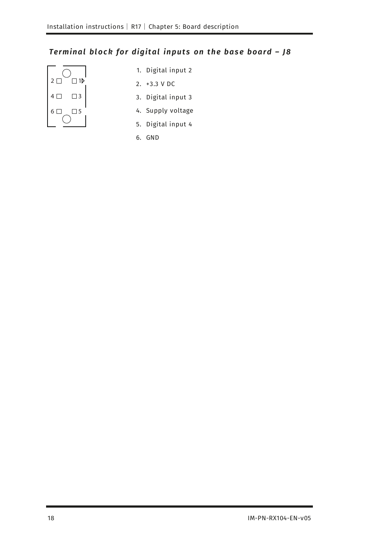# Terminal block for digital inputs on the base board - J8



- 1. Digital input 2
- 2. +3.3 V DC
- 3. Digital input 3
- 4. Supply voltage
- 5. Digital input 4
- 6. GND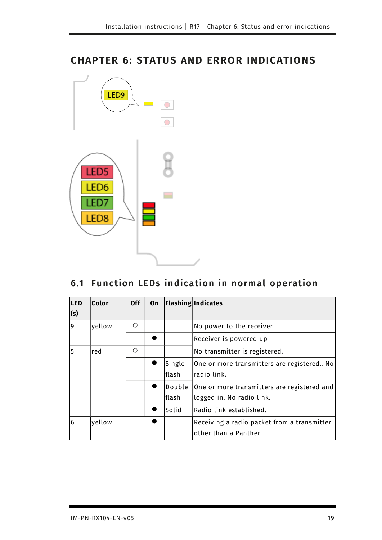# <span id="page-18-0"></span>**CHAPTER 6: STATUS AND ERROR INDICATIONS**



# <span id="page-18-1"></span>**6.1 Fu nction LEDs indication in normal operation**

| <b>LED</b> | Color  | <b>Off</b> | <b>On</b> |        | <b>Flashing Indicates</b>                   |
|------------|--------|------------|-----------|--------|---------------------------------------------|
| (s)        |        |            |           |        |                                             |
| 9          | yellow | ∩          |           |        | No power to the receiver                    |
|            |        |            |           |        | Receiver is powered up                      |
| 5          | red    | Ω          |           |        | No transmitter is registered.               |
|            |        |            |           | Single | One or more transmitters are registered No  |
|            |        |            |           | lflash | lradio link.                                |
|            |        |            |           | Double | One or more transmitters are registered and |
|            |        |            |           | flash  | llogged in. No radio link.                  |
|            |        |            |           | Solid  | lRadio link established.                    |
| 6          | yellow |            |           |        | Receiving a radio packet from a transmitter |
|            |        |            |           |        | other than a Panther.                       |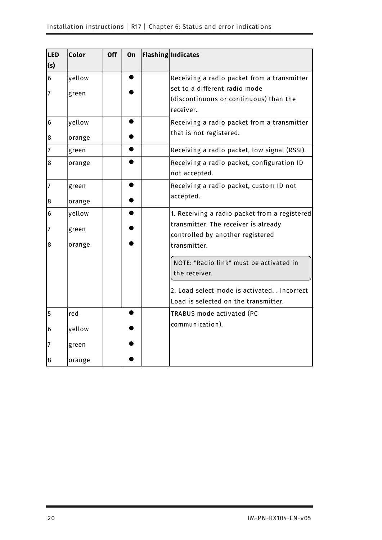| LED              | Color  | <b>Off</b> | On | <b>Flashing Indicates</b>                     |
|------------------|--------|------------|----|-----------------------------------------------|
| (s)              |        |            |    |                                               |
| $6\phantom{a}$   | yellow |            |    | Receiving a radio packet from a transmitter   |
| 7                |        |            |    | set to a different radio mode                 |
|                  | green  |            |    | (discontinuous or continuous) than the        |
|                  |        |            |    | receiver.                                     |
| 6                | yellow |            |    | Receiving a radio packet from a transmitter   |
| 8                | orange |            |    | that is not registered.                       |
| $\overline{7}$   | green  |            |    | Receiving a radio packet, low signal (RSSI).  |
| 8                | orange |            |    | Receiving a radio packet, configuration ID    |
|                  |        |            |    | not accepted.                                 |
| $\overline{7}$   | green  |            |    | Receiving a radio packet, custom ID not       |
|                  |        |            |    | accepted.                                     |
| 8                | orange |            |    |                                               |
| 6                | yellow |            |    | 1. Receiving a radio packet from a registered |
| 7                | green  |            |    | transmitter. The receiver is already          |
| 8                |        |            |    | controlled by another registered              |
|                  | orange |            |    | transmitter.                                  |
|                  |        |            |    | NOTE: "Radio link" must be activated in       |
|                  |        |            |    | the receiver.                                 |
|                  |        |            |    |                                               |
|                  |        |            |    | 2. Load select mode is activated. . Incorrect |
|                  |        |            |    | Load is selected on the transmitter.          |
| 5                | red    |            |    | TRABUS mode activated (PC                     |
| 6                | yellow |            |    | communication).                               |
|                  |        |            |    |                                               |
| 7                | green  |            |    |                                               |
| $\boldsymbol{8}$ | orange |            |    |                                               |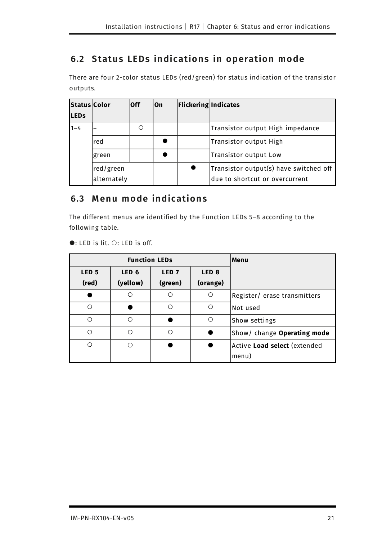# <span id="page-20-0"></span>**6.2 Status LEDs indications in operation mode**

There are four 2-color status LEDs (red/green) for status indication of the transistor outputs.

| <b>Status Color</b><br><b>LEDs</b> |             | lOff | lOn | Flickering Indicates |                                        |
|------------------------------------|-------------|------|-----|----------------------|----------------------------------------|
| $1 - 4$                            |             |      |     |                      | Transistor output High impedance       |
|                                    | red         |      |     |                      | Transistor output High                 |
|                                    | green       |      |     |                      | Transistor output Low                  |
|                                    | red/green   |      |     |                      | Transistor output(s) have switched off |
|                                    | alternately |      |     |                      | due to shortcut or overcurrent         |

### <span id="page-20-1"></span>**6.3 M enu mode indications**

The different menus are identified by the Function LEDs 5–8 according to the following table.

|                  | <b>Function LEDs</b> | Menu             |                  |                                     |
|------------------|----------------------|------------------|------------------|-------------------------------------|
| LED <sub>5</sub> | LED <sub>6</sub>     | LED <sub>7</sub> | LED <sub>8</sub> |                                     |
| (red)            | (yellow)             | (green)          | (orange)         |                                     |
|                  |                      | Ω                | $\circ$          | Register/ erase transmitters        |
| Ω                |                      | Ο                | ∩                | Not used                            |
| ∩                | ∩                    |                  | $\circ$          | Show settings                       |
| ∩                |                      | ∩                |                  | Show/ change Operating mode         |
| ∩                |                      |                  |                  | Active <b>Load select</b> (extended |
|                  |                      |                  |                  | menu)                               |

 $\bullet$ : LED is lit.  $\circ$ : LED is off.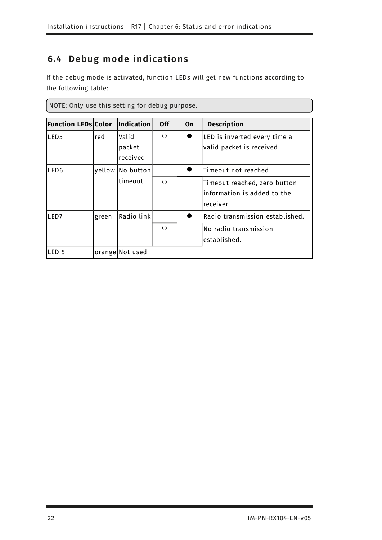# <span id="page-21-0"></span>**6.4 Debug mode indications**

If the debug mode is activated, function LEDs will get new functions according to the following table:

| NOTE: Only use this setting for debug purpose. |       |                             |            |    |                                                                          |
|------------------------------------------------|-------|-----------------------------|------------|----|--------------------------------------------------------------------------|
| <b>Function LEDs Color</b>                     |       | $\vert$ Indication $\vert$  | <b>Off</b> | On | <b>Description</b>                                                       |
| LED <sub>5</sub>                               | red   | Valid<br>packet<br>received | ∩          |    | LED is inverted every time a<br>valid packet is received                 |
| LED <sub>6</sub>                               |       | yellow No button            |            |    | Timeout not reached                                                      |
|                                                |       | timeout                     | $\bigcap$  |    | Timeout reached, zero button<br>information is added to the<br>receiver. |
| LED7                                           | green | Radio link                  |            |    | Radio transmission established.                                          |
|                                                |       |                             | ∩          |    | No radio transmission<br>lestablished.                                   |
| LED 5                                          |       | orange Not used             |            |    |                                                                          |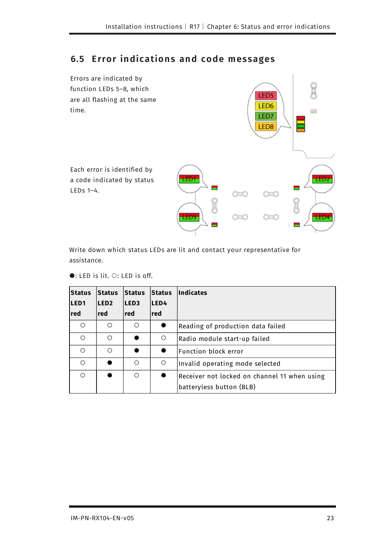### <span id="page-22-0"></span>**6.5 Error indications and code messages**



Write down which status LEDs are lit and contact your representative for assistance.

 $\bullet$ : LED is lit.  $\circ$ : LED is off.

| Status<br>LED <sub>1</sub> | <b>Status</b><br>LED <sub>2</sub> | <b>Status</b><br><b>LED3</b> | <b>Status</b><br>LED4 | Indicates                                                                |
|----------------------------|-----------------------------------|------------------------------|-----------------------|--------------------------------------------------------------------------|
| red                        | red l                             | red l                        | red l                 |                                                                          |
| ∩                          | ∩                                 | ∩                            |                       | Reading of production data failed                                        |
| ∩                          | $\bigcap$                         |                              | $\bigcirc$            | Radio module start-up failed                                             |
| $\bigcirc$                 | ∩                                 |                              |                       | Function block error                                                     |
| ∩                          |                                   | ∩                            | $\bigcirc$            | Invalid operating mode selected                                          |
| ∩                          |                                   | ∩                            |                       | Receiver not locked on channel 11 when using<br>batteryless button (BLB) |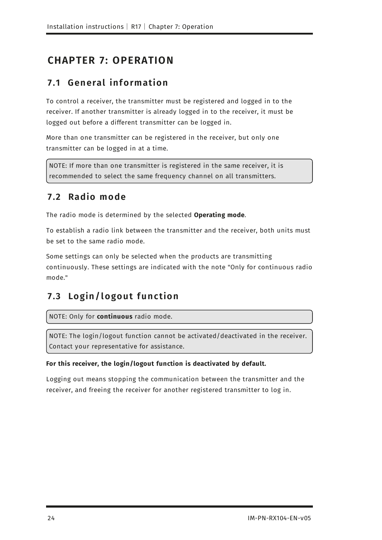# <span id="page-23-1"></span><span id="page-23-0"></span>**CHAPTER 7: OPERATION**

### **7 .1 General inf ormation**

To control a receiver, the transmitter must be registered and logged in to the receiver. If another transmitter is already logged in to the receiver, it must be logged out before a different transmitter can be logged in.

More than one transmitter can be registered in the receiver, but only one transmitter can be logged in at a time.

<span id="page-23-2"></span>NOTE: If more than one transmitter is registered in the same receiver, it is recommended to select the same frequency channel on all transmitters.

# **7 .2 Radio mode**

The radio mode is determined by the selected **Operating mode**.

To establish a radio link between the transmitter and the receiver, both units must be set to the same radio mode.

Some settings can only be selected when the products are transmitting continuously. These settings are indicated with the note "Only for continuous radio mode."

# <span id="page-23-3"></span>**7 .3 Login/ l ogou t f u nction**

NOTE: Only for **continuous** radio mode.

NOTE: The login/logout function cannot be activated/deactivated in the receiver. Contact your representative for assistance.

### **For this receiver, the login/logout function is deactivated by default.**

Logging out means stopping the communication between the transmitter and the receiver, and freeing the receiver for another registered transmitter to log in.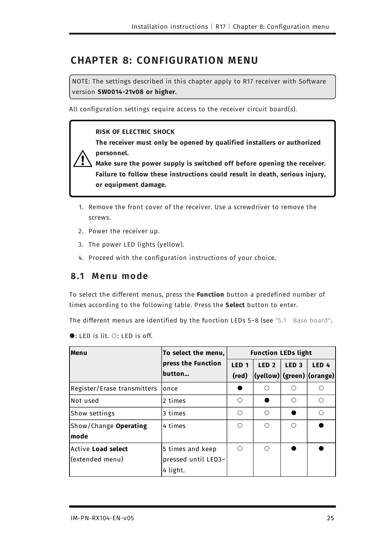# <span id="page-24-0"></span>**CHAPTER 8: CONFIGURATION MENU**

NOTE: The settings described in this chapter apply to R17 receiver with Software version **SW0014-21v08 or higher**.

All configuration settings require access to the receiver circuit board(s).

#### **RISK OF ELECTRIC SHOCK**

**The receiver must only be opened by qualified installers or authorized personnel.** 

**Make sure the power supply is switched off before opening the receiver. Failure to follow these instructions could result in death, serious injury, or equipment damage.**

- 1. Remove the front cover of the receiver. Use a screwdriver to remove the screws.
- 2. Power the receiver up.
- 3. The power LED lights (yellow).
- <span id="page-24-1"></span>4. Proceed with the configuration instructions of your choice.

### **8 .1 M enu mode**

To select the different menus, press the **Function** button a predefined number of times according to the following table. Press the **Select** button to enter.

The different menus are identified by the function LEDs 5-8 (see "5.1 Base board".

 $\bullet$ : LED is lit.  $\circ$ : LED is off.

| Menu                        | To select the menu, | <b>Function LEDs light</b> |                  |                  |                                           |
|-----------------------------|---------------------|----------------------------|------------------|------------------|-------------------------------------------|
|                             | press the Function  | LED <sub>1</sub>           | LED <sub>2</sub> | LED <sub>3</sub> | LED <sub>4</sub>                          |
|                             | button              | (red)                      |                  |                  | $ $ (yellow) $ $ (green) $ $ (orange) $ $ |
| Register/Erase transmitters | lonce               |                            |                  | ∩                | ∩                                         |
| Not used                    | 2 times             | ∩                          |                  | ∩                | ∩                                         |
| Show settings               | 3 times             | ∩                          | ∩                |                  | ∩                                         |
| Show/Change Operating       | 4 times             | ∩                          | ∩                | ∩                |                                           |
| mode                        |                     |                            |                  |                  |                                           |
| <b>Active Load select</b>   | 5 times and keep    | ∩                          | ∩                |                  |                                           |
| (extended menu)             | pressed until LED3- |                            |                  |                  |                                           |
|                             | 4 light.            |                            |                  |                  |                                           |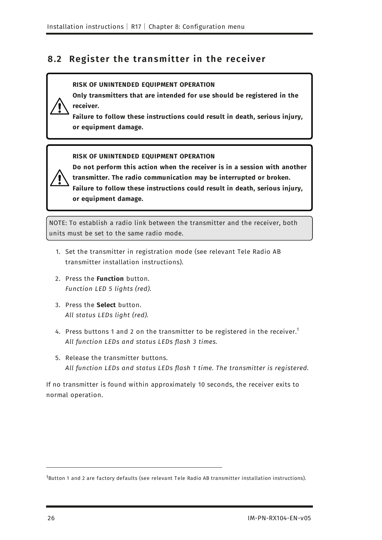### <span id="page-25-0"></span>**8 .2 Register the transmitter in the receiver**

#### **RISK OF UNINTENDED EQUIPMENT OPERATION**

**Only transmitters that are intended for use should be registered in the receiver.**

**Failure to follow these instructions could result in death, serious injury, or equipment damage.**

**RISK OF UNINTENDED EQUIPMENT OPERATION**

**Do not perform this action when the receiver is in a session with another transmitter. The radio communication may be interrupted or broken. Failure to follow these instructions could result in death, serious injury, or equipment damage.**

NOTE: To establish a radio link between the transmitter and the receiver, both units must be set to the same radio mode.

- 1. Set the transmitter in registration mode (see relevant Tele Radio AB transmitter installation instructions).
- 2. Press the **Function** button. *Function LED 5 lights (red).*
- 3. Press the **Select** button. *All status LEDs light (red).*
- 4. Press buttons 1 and 2 on the transmitter to be registered in the receiver.<sup>1</sup> *All function LEDs and status LEDs flash 3 times.*
- 5. Release the transmitter buttons. *All function LEDs and status LEDs flash 1 time. The transmitter is registered.*

If no transmitter is found within approximately 10 seconds, the receiver exits to normal operation.

<sup>1</sup>Button 1 and 2 are factory defaults (see relevant Tele Radio AB transmitter installation instructions).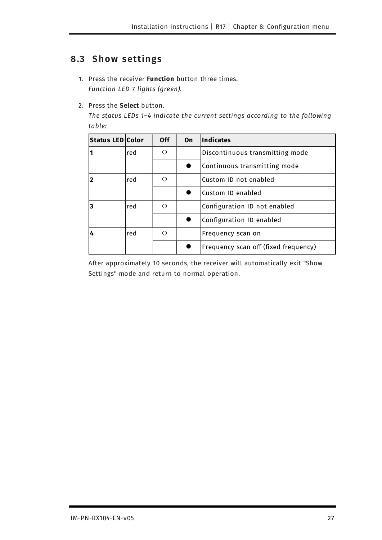# <span id="page-26-0"></span>**8 .3 S how settings**

- 1. Press the receiver **Function** button three times. *Function LED* 7 *lights (green).*
- 2. Press the **Select** button.

*The status LEDs 1–4 indicate the current settings according to the following table:*

| Status LED Color |     | <b>Off</b> | On | Indicates                            |
|------------------|-----|------------|----|--------------------------------------|
| 11               | red | ◯          |    | Discontinuous transmitting mode      |
|                  |     |            |    | Continuous transmitting mode         |
| 2                | red | ∩          |    | Custom ID not enabled                |
|                  |     |            |    | lCustom ID enabled                   |
| 3                | red | ∩          |    | Configuration ID not enabled         |
|                  |     |            |    | Configuration ID enabled             |
| 4                | red | ∩          |    | Frequency scan on                    |
|                  |     |            |    | Frequency scan off (fixed frequency) |

After approximately 10 seconds, the receiver will automatically exit "Show Settings" mode and return to normal operation.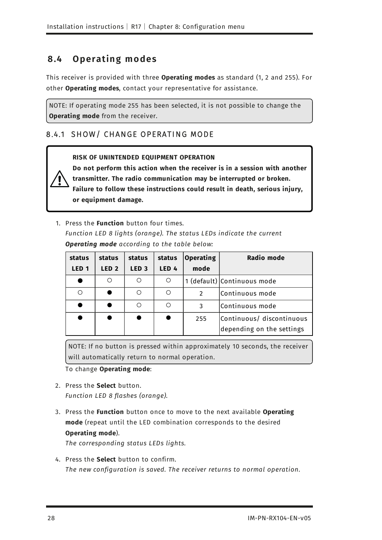# <span id="page-27-0"></span>**8 .4 Operating modes**

This receiver is provided with three **Operating modes** as standard (1, 2 and 255). For other **Operating modes**, contact your representative for assistance.

NOTE: If operating mode 255 has been selected, it is not possible to change the **Operating mode** from the receiver.

### <span id="page-27-1"></span>8.4.1 SHOW/ CHANGE OPERATING MODE

#### **RISK OF UNINTENDED EQUIPMENT OPERATION**

**Do not perform this action when the receiver is in a session with another transmitter. The radio communication may be interrupted or broken. Failure to follow these instructions could result in death, serious injury, or equipment damage.**

1. Press the **Function** button four times. *Function LED 8 lights (orange). The status LEDs indicate the current Operating mode according to the table below:*

| status           | status           | status           | status           | Operating     | Radio mode                  |
|------------------|------------------|------------------|------------------|---------------|-----------------------------|
| LED <sub>1</sub> | LED <sub>2</sub> | LED <sub>3</sub> | LED <sub>4</sub> | mode          |                             |
|                  |                  |                  | O                |               | 1 (default) Continuous mode |
|                  |                  |                  | ∩                | $\mathcal{P}$ | Continuous mode             |
|                  |                  |                  | ∩                | 3             | Continuous mode             |
|                  |                  |                  |                  | 255           | Continuous/ discontinuous   |
|                  |                  |                  |                  |               | depending on the settings   |

NOTE: If no button is pressed within approximately 10 seconds, the receiver will automatically return to normal operation.

#### To change **Operating mode**:

- 2. Press the **Select** button. *Function LED 8 flashes (orange).*
- 3. Press the **Function** button once to move to the next available **Operating mode** (repeat until the LED combination corresponds to the desired **Operating mode**).

*The corresponding status LEDs lights.*

4. Press the **Select** button to confirm. *The new configuration is saved. The receiver returns to normal operation.*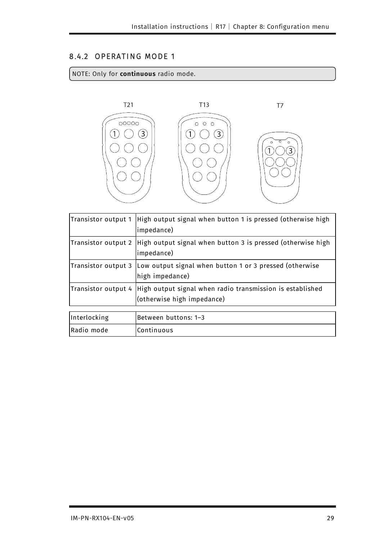### 8.4.2 OPERATING MODE 1

#### NOTE: Only for **continuous** radio mode.



| Transistor output 1 | High output signal when button 1 is pressed (otherwise high<br>impedance)               |
|---------------------|-----------------------------------------------------------------------------------------|
| Transistor output 2 | High output signal when button 3 is pressed (otherwise high<br>impedance)               |
| Transistor output 3 | Low output signal when button 1 or 3 pressed (otherwise<br>high impedance)              |
| Transistor output 4 | High output signal when radio transmission is established<br>(otherwise high impedance) |
| Interlocking        | Between buttons: 1-3                                                                    |
| Radio mode          | Continuous                                                                              |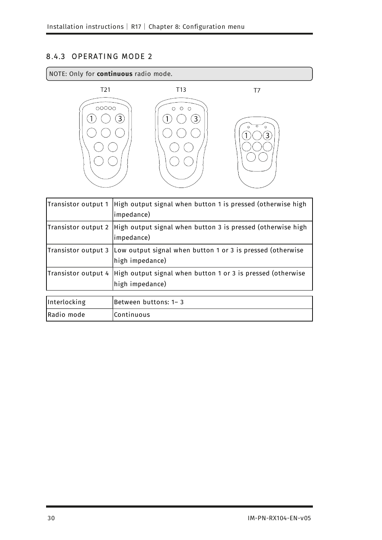### 8.4.3 OPERATING MODE 2

#### NOTE: Only for **continuous** radio mode.



| Transistor output 1 | High output signal when button 1 is pressed (otherwise high<br>impedance)      |
|---------------------|--------------------------------------------------------------------------------|
| Transistor output 2 | High output signal when button 3 is pressed (otherwise high<br>impedance)      |
| Transistor output 3 | Low output signal when button 1 or 3 is pressed (otherwise<br>high impedance)  |
| Transistor output 4 | High output signal when button 1 or 3 is pressed (otherwise<br>high impedance) |
| Interlocking        | Between buttons: 1-3                                                           |
| Radio mode          | Continuous                                                                     |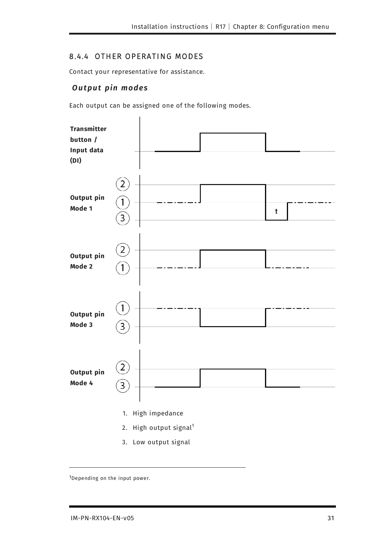### 8.4.4 OTHER OPERATING MODES

<span id="page-30-0"></span>Contact your representative for assistance.

### **Output pin modes**

Each output can be assigned one of the following modes.



<sup>3.</sup> Low output signal

<sup>1</sup>Depending on the input power.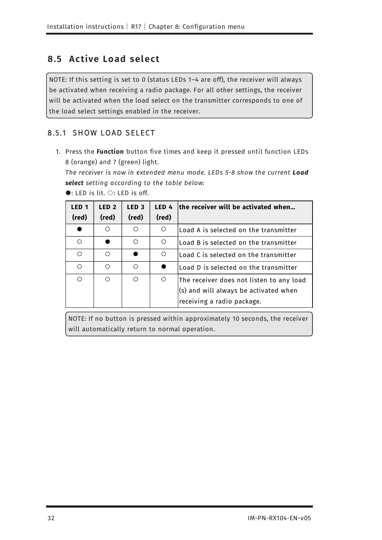### <span id="page-31-0"></span>**8 .5 Active Load sel ect**

NOTE: If this setting is set to 0 (status LEDs 1–4 are off), the receiver will always be activated when receiving a radio package. For all other settings, the receiver will be activated when the load select on the transmitter corresponds to one of the load select settings enabled in the receiver.

### 8.5.1 SHOW LOAD SELECT

1. Press the **Function** button five times and keep it pressed until function LEDs 8 (orange) and 7 (green) light.

*The receiver is now in extended menu mode. LEDs 5-8 show the current Load select setting according to the table below:*

| LED <sub>1</sub> | LED <sub>2</sub> | LED <sub>3</sub> | LED 4      | the receiver will be activated when           |
|------------------|------------------|------------------|------------|-----------------------------------------------|
| (red)            | (red)            | (red)            | (red)      |                                               |
|                  | ∩                |                  | $\bigcirc$ | Load A is selected on the transmitter         |
| Ω                |                  | ∩                | O          | Load B is selected on the transmitter         |
| $\bigcirc$       | $\bigcirc$       |                  | $\circ$    | Load C is selected on the transmitter         |
| Ω                | $\bigcirc$       | ∩                |            | $\sf l$ Load D is selected on the transmitter |
| $\bigcirc$       | $\circ$          | $\bigcap$        | $\bigcirc$ | The receiver does not listen to any load      |
|                  |                  |                  |            | $(s)$ and will always be activated when       |
|                  |                  |                  |            | receiving a radio package.                    |

 $\bullet$ : LED is lit.  $\circ$ : LED is off.

NOTE: If no button is pressed within approximately 10 seconds, the receiver will automatically return to normal operation.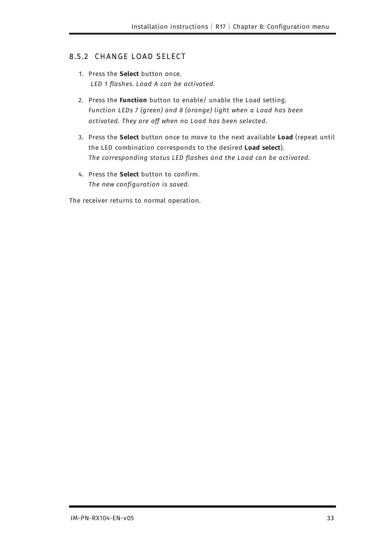### 8.5.2 CHANGE LOAD SELECT

- 1. Press the **Select** button once. *LED 1 flashes. Load A can be activated.*
- 2. Press the **Function** button to enable/ unable the Load setting. *Function LEDs 7 (green) and 8 (orange) light when a Load has been activated. They are off when no Load has been selected.*
- 3. Press the **Select** button once to move to the next available **Load** (repeat until the LED combination corresponds to the desired **Load select**). *The corresponding status LED flashes and the Load can be activated.*
- 4. Press the **Select** button to confirm. *The new configuration is saved.*

The receiver returns to normal operation.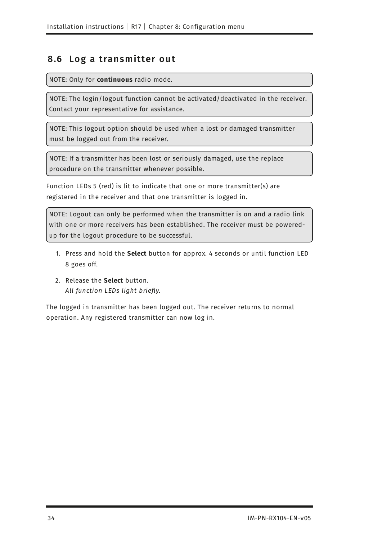### <span id="page-33-0"></span>**8 .6 Log a transmitter ou t**

NOTE: Only for **continuous** radio mode.

NOTE: The login/logout function cannot be activated/deactivated in the receiver. Contact your representative for assistance.

NOTE: This logout option should be used when a lost or damaged transmitter must be logged out from the receiver.

NOTE: If a transmitter has been lost or seriously damaged, use the replace procedure on the transmitter whenever possible.

Function LEDs 5 (red) is lit to indicate that one or more transmitter(s) are registered in the receiver and that one transmitter is logged in.

NOTE: Logout can only be performed when the transmitter is on and a radio link with one or more receivers has been established. The receiver must be poweredup for the logout procedure to be successful.

- 1. Press and hold the **Select** button for approx. 4 seconds or until function LED 8 goes off.
- 2. Release the **Select** button. *All function LEDs light briefly.*

The logged in transmitter has been logged out. The receiver returns to normal operation. Any registered transmitter can now log in.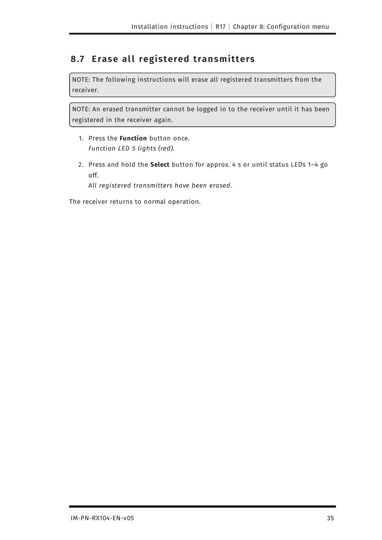### <span id="page-34-0"></span>**8.7 Erase all registered transmitters**

NOTE: The following instructions will erase all registered transmitters from the receiver.

NOTE: An erased transmitter cannot be logged in to the receiver until it has been registered in the receiver again.

- 1. Press the **Function** button once. *Function LED 5 lights (red).*
- 2. Press and hold the **Select** button for approx. 4 s or until status LEDs 1–4 go off.

*All registered transmitters have been erased.*

The receiver returns to normal operation.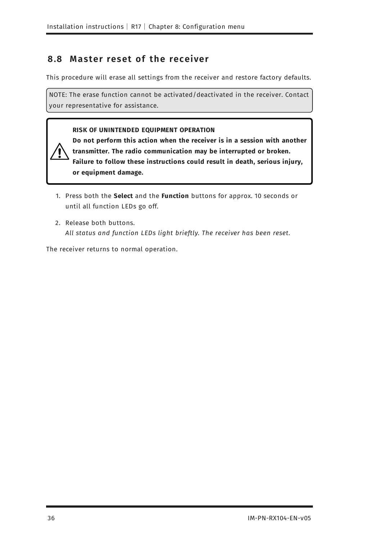### <span id="page-35-0"></span>**8 .8 M aster reset of the receiver**

This procedure will erase all settings from the receiver and restore factory defaults.

NOTE: The erase function cannot be activated/deactivated in the receiver. Contact your representative for assistance.

#### **RISK OF UNINTENDED EQUIPMENT OPERATION**

**Do not perform this action when the receiver is in a session with another transmitter. The radio communication may be interrupted or broken. Failure to follow these instructions could result in death, serious injury, or equipment damage.**

- 1. Press both the **Select** and the **Function** buttons for approx. 10 seconds or until all function LEDs go off.
- 2. Release both buttons. *All status and function LEDs light brieftly. The receiver has been reset.*

The receiver returns to normal operation.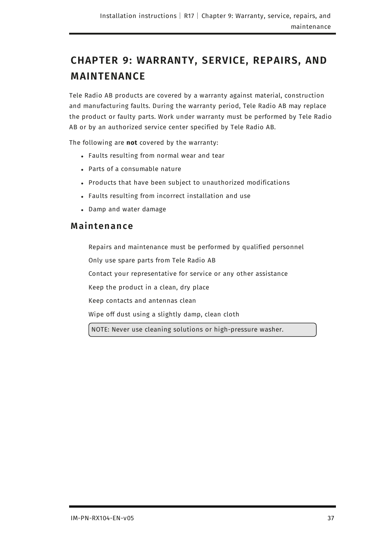# <span id="page-36-0"></span>**CHAPTER 9: WARRANTY, SERVICE, REPAIRS, AND MAINTENANCE**

Tele Radio AB products are covered by a warranty against material, construction and manufacturing faults. During the warranty period, Tele Radio AB may replace the product or faulty parts. Work under warranty must be performed by Tele Radio AB or by an authorized service center specified by Tele Radio AB.

The following are **not** covered by the warranty:

- Faults resulting from normal wear and tear
- Parts of a consumable nature
- Products that have been subject to unauthorized modifications
- Faults resulting from incorrect installation and use
- <span id="page-36-1"></span>• Damp and water damage

### **M aintenance**

Repairs and maintenance must be performed by qualified personnel Only use spare parts from Tele Radio AB Contact your representative for service or any other assistance Keep the product in a clean, dry place Keep contacts and antennas clean Wipe off dust using a slightly damp, clean cloth NOTE: Never use cleaning solutions or high-pressure washer.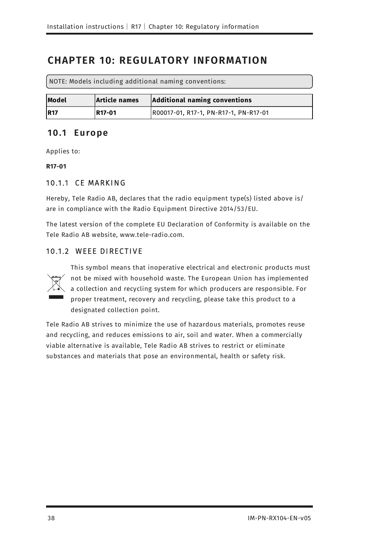# <span id="page-37-0"></span>**CHAPTER 10: REGULATORY INFORMATION**

NOTE: Models including additional naming conventions:

| Model       | Article names | Additional naming conventions         |
|-------------|---------------|---------------------------------------|
| <b>IR17</b> | R17-01        | R00017-01, R17-1, PN-R17-1, PN-R17-01 |

### <span id="page-37-1"></span>**1 0.1 Eu rope**

Applies to:

**R17-01**

### 10.1.1 CE MARKING

Hereby, Tele Radio AB, declares that the radio equipment type(s) listed above is/ are in compliance with the Radio Equipment Directive 2014/53/EU.

<span id="page-37-2"></span>The latest version of the complete EU Declaration of Conformity is available on the Tele Radio AB website, www.tele-radio.com.

### 10.1.2 WEEE DIRECTIVE



This symbol means that inoperative electrical and electronic products must not be mixed with household waste. The European Union has implemented a collection and recycling system for which producers are responsible. For proper treatment, recovery and recycling, please take this product to a designated collection point.

Tele Radio AB strives to minimize the use of hazardous materials, promotes reuse and recycling, and reduces emissions to air, soil and water. When a commercially viable alternative is available, Tele Radio AB strives to restrict or eliminate substances and materials that pose an environmental, health or safety risk.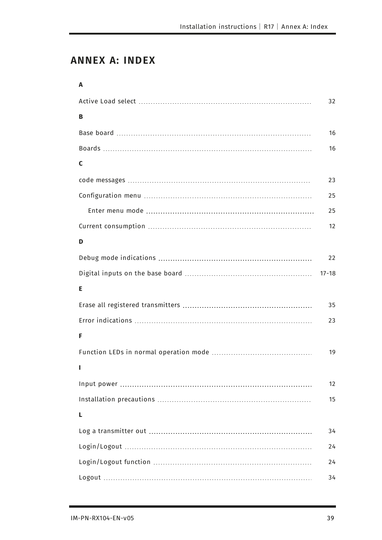# <span id="page-38-0"></span>**ANNEX A: INDEX**

| A |           |
|---|-----------|
|   | 32        |
| В |           |
|   | 16        |
|   | 16        |
| C |           |
|   | 23        |
|   | 25        |
|   | 25        |
|   | 12        |
| D |           |
|   | 22        |
|   | $17 - 18$ |
| Е |           |
|   | 35        |
|   | 23        |
| F |           |
|   | 19        |
|   |           |
|   | 12        |
|   | 15        |
| L |           |
|   | 34        |
|   | 24        |
|   | 24        |
|   | 34        |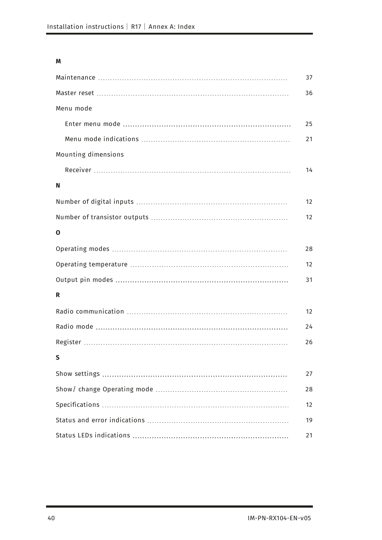#### **M**

|                     | 37 |
|---------------------|----|
|                     | 36 |
| Menu mode           |    |
|                     | 25 |
|                     | 21 |
| Mounting dimensions |    |
|                     | 14 |
| N                   |    |
|                     | 12 |
|                     | 12 |
| 0                   |    |
|                     | 28 |
|                     | 12 |
|                     | 31 |
| R                   |    |
|                     | 12 |
|                     | 24 |
|                     | 26 |
| $\mathsf{S}$        |    |
|                     | 27 |
|                     | 28 |
|                     | 12 |
|                     | 19 |
|                     | 21 |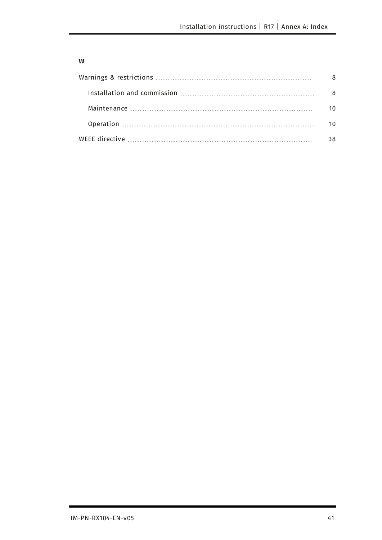#### **W**

| 8   |
|-----|
| - 8 |
| 10  |
| 10  |
| 38  |